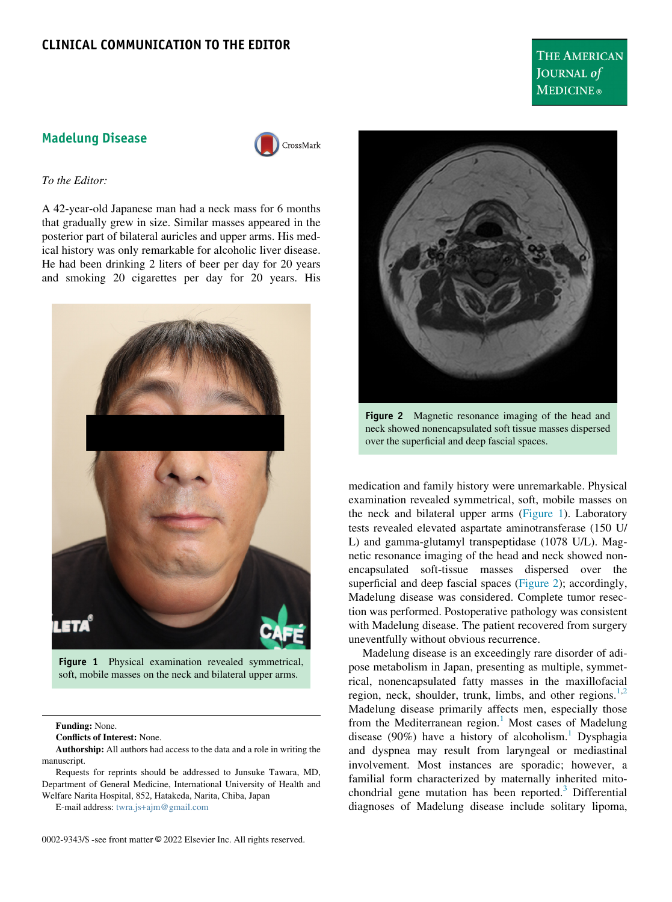<span id="page-0-1"></span>Madelung Disease



To the Editor:

A 42-year-old Japanese man had a neck mass for 6 months that gradually grew in size. Similar masses appeared in the posterior part of bilateral auricles and upper arms. His medical history was only remarkable for alcoholic liver disease. He had been drinking 2 liters of beer per day for 20 years and smoking 20 cigarettes per day for 20 years. His

<span id="page-0-0"></span>

Figure 1 Physical examination revealed symmetrical, soft, mobile masses on the neck and bilateral upper arms.

Funding: None.

Conflicts of Interest: None.

Authorship: All authors had access to the data and a role in writing the manuscript.

Requests for reprints should be addressed to Junsuke Tawara, MD, Department of General Medicine, International University of Health and Welfare Narita Hospital, 852, Hatakeda, Narita, Chiba, Japan

E-mail address: [twra.js+ajm@gmail.com](mailto:twra.js+ajm@gmail.com)





THE AMERICAN JOURNAL of **MEDICINE**®

Figure 2 Magnetic resonance imaging of the head and neck showed nonencapsulated soft tissue masses dispersed over the superficial and deep fascial spaces.

medication and family history were unremarkable. Physical examination revealed symmetrical, soft, mobile masses on the neck and bilateral upper arms [\(Figure 1](#page-0-0)). Laboratory tests revealed elevated aspartate aminotransferase (150 U/ L) and gamma-glutamyl transpeptidase (1078 U/L). Magnetic resonance imaging of the head and neck showed nonencapsulated soft-tissue masses dispersed over the superficial and deep fascial spaces ([Figure 2](#page-0-1)); accordingly, Madelung disease was considered. Complete tumor resection was performed. Postoperative pathology was consistent with Madelung disease. The patient recovered from surgery uneventfully without obvious recurrence.

Madelung disease is an exceedingly rare disorder of adipose metabolism in Japan, presenting as multiple, symmetrical, nonencapsulated fatty masses in the maxillofacial region, neck, shoulder, trunk, limbs, and other regions. $1,2$  $1,2$ Madelung disease primarily affects men, especially those from the Mediterranean region. $<sup>1</sup>$  $<sup>1</sup>$  $<sup>1</sup>$  Most cases of Madelung</sup> disease (90%) have a history of alcoholism.<sup>[1](#page-1-0)</sup> Dysphagia and dyspnea may result from laryngeal or mediastinal involvement. Most instances are sporadic; however, a familial form characterized by maternally inherited mitochondrial gene mutation has been reported. $3$  Differential diagnoses of Madelung disease include solitary lipoma,